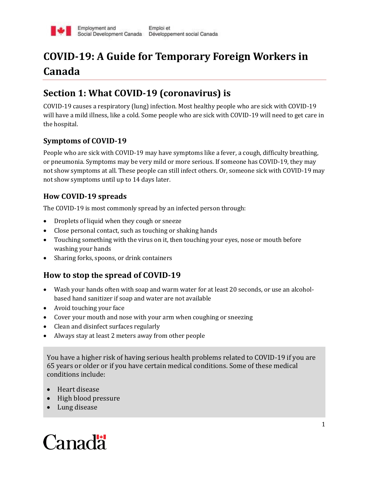

## **COVID-19: A Guide for Temporary Foreign Workers in Canada**

## **Section 1: What COVID-19 (coronavirus) is**

COVID-19 causes a respiratory (lung) infection. Most healthy people who are sick with COVID-19 will have a mild illness, like a cold. Some people who are sick with COVID-19 will need to get care in the hospital.

#### **Symptoms of COVID-19**

People who are sick with COVID-19 may have symptoms like a fever, a cough, difficulty breathing, or pneumonia. Symptoms may be very mild or more serious. If someone has COVID-19, they may not show symptoms at all. These people can still infect others. Or, someone sick with COVID-19 may not show symptoms until up to 14 days later.

#### **How COVID-19 spreads**

The COVID-19 is most commonly spread by an infected person through:

- Droplets of liquid when they cough or sneeze
- Close personal contact, such as touching or shaking hands
- Touching something with the virus on it, then touching your eyes, nose or mouth before washing your hands
- Sharing forks, spoons, or drink containers

#### **How to stop the spread of COVID-19**

- Wash your hands often with soap and warm water for at least 20 seconds, or use an alcoholbased hand sanitizer if soap and water are not available
- Avoid touching your face
- Cover your mouth and nose with your arm when coughing or sneezing
- Clean and disinfect surfaces regularly
- Always stay at least 2 meters away from other people

You have a higher risk of having serious health problems related to COVID-19 if you are 65 years or older or if you have certain medical conditions. Some of these medical conditions include:

- Heart disease
- High blood pressure
- Lung disease

# Canadä<sup>r</sup>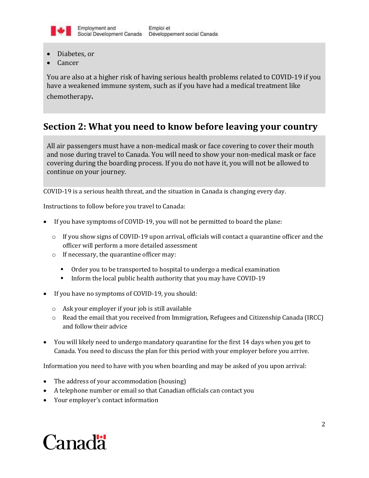

- Diabetes, or
- Cancer

You are also at a higher risk of having serious health problems related to COVID-19 if you have a weakened immune system, such as if you have had a medical treatment like chemotherapy.

### **Section 2: What you need to know before leaving your country**

All air passengers must have a non-medical mask or face covering to cover their mouth and nose during travel to Canada. You will need to show your non-medical mask or face covering during the boarding process. If you do not have it, you will not be allowed to continue on your journey.

COVID-19 is a serious health threat, and the situation in Canada is changing every day.

Instructions to follow before you travel to Canada:

- If you have symptoms of COVID-19, you will not be permitted to board the plane:
	- $\circ$  If you show signs of COVID-19 upon arrival, officials will contact a quarantine officer and the officer will perform a more detailed assessment
	- o If necessary, the quarantine officer may:
		- Order you to be transported to hospital to undergo a medical examination
		- Inform the local public health authority that you may have COVID-19
- If you have no symptoms of COVID-19, you should:
	- o Ask your employer if your job is still available
	- o Read the email that you received from Immigration, Refugees and Citizenship Canada (IRCC) and follow their advice
- You will likely need to undergo mandatory quarantine for the first 14 days when you get to Canada. You need to discuss the plan for this period with your employer before you arrive.

Information you need to have with you when boarding and may be asked of you upon arrival:

- The address of your accommodation (housing)
- A telephone number or email so that Canadian officials can contact you
- Your employer's contact information

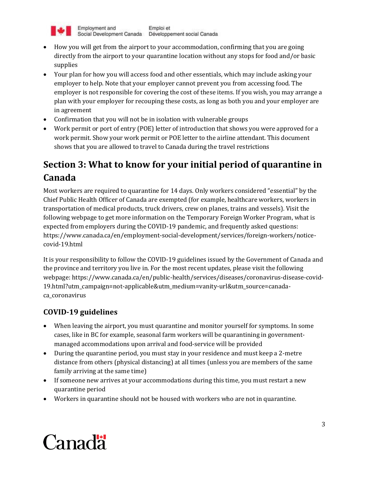

- How you will get from the airport to your accommodation, confirming that you are going directly from the airport to your quarantine location without any stops for food and/or basic supplies
- Your plan for how you will access food and other essentials, which may include asking your employer to help. Note that your employer cannot prevent you from accessing food. The employer is not responsible for covering the cost of these items. If you wish, you may arrange a plan with your employer for recouping these costs, as long as both you and your employer are in agreement
- Confirmation that you will not be in isolation with vulnerable groups
- Work permit or port of entry (POE) letter of introduction that shows you were approved for a work permit. Show your work permit or POE letter to the airline attendant. This document shows that you are allowed to travel to Canada during the travel restrictions

## **Section 3: What to know for your initial period of quarantine in Canada**

Most workers are required to quarantine for 14 days. Only workers considered "essential" by the Chief Public Health Officer of Canada are exempted (for example, healthcare workers, workers in transportation of medical products, truck drivers, crew on planes, trains and vessels). Visit the following webpage to get more information on the Temporary Foreign Worker Program, what is expected from employers during the COVID-19 pandemic, and frequently asked questions: https://www.canada.ca/en/employment-social-development/services/foreign-workers/noticecovid-19.html

It is your responsibility to follow the COVID-19 guidelines issued by the Government of Canada and the province and territory you live in. For the most recent updates, please visit the following webpage: https://www.canada.ca/en/public-health/services/diseases/coronavirus-disease-covid-19.html?utm\_campaign=not-applicable&utm\_medium=vanity-url&utm\_source=canadaca\_coronavirus

#### **COVID-19 guidelines**

- When leaving the airport, you must quarantine and monitor yourself for symptoms. In some cases, like in BC for example, seasonal farm workers will be quarantining in governmentmanaged accommodations upon arrival and food-service will be provided
- During the quarantine period, you must stay in your residence and must keep a 2-metre distance from others (physical distancing) at all times (unless you are members of the same family arriving at the same time)
- If someone new arrives at your accommodations during this time, you must restart a new quarantine period
- Workers in quarantine should not be housed with workers who are not in quarantine.

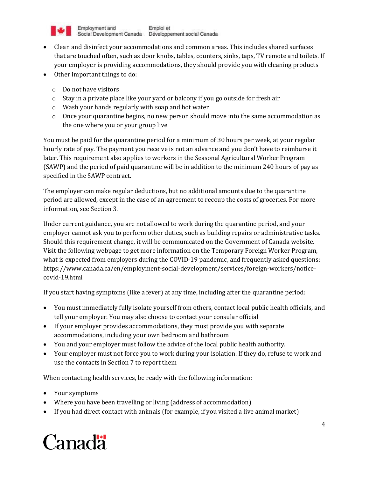

- Clean and disinfect your accommodations and common areas. This includes shared surfaces that are touched often, such as door knobs, tables, counters, sinks, taps, TV remote and toilets. If your employer is providing accommodations, they should provide you with cleaning products
- Other important things to do:
	- o Do not have visitors
	- $\circ$  Stay in a private place like your yard or balcony if you go outside for fresh air
	- o Wash your hands regularly with soap and hot water
	- $\circ$  Once your quarantine begins, no new person should move into the same accommodation as the one where you or your group live

You must be paid for the quarantine period for a minimum of 30 hours per week, at your regular hourly rate of pay. The payment you receive is not an advance and you don't have to reimburse it later. This requirement also applies to workers in the Seasonal Agricultural Worker Program (SAWP) and the period of paid quarantine will be in addition to the minimum 240 hours of pay as specified in the SAWP contract.

The employer can make regular deductions, but no additional amounts due to the quarantine period are allowed, except in the case of an agreement to recoup the costs of groceries. For more information, see Section 3.

Under current guidance, you are not allowed to work during the quarantine period, and your employer cannot ask you to perform other duties, such as building repairs or administrative tasks. Should this requirement change, it will be communicated on the Government of Canada website. Visit the following webpage to get more information on the Temporary Foreign Worker Program, what is expected from employers during the COVID-19 pandemic, and frequently asked questions: https://www.canada.ca/en/employment-social-development/services/foreign-workers/noticecovid-19.html

If you start having symptoms (like a fever) at any time, including after the quarantine period:

- You must immediately fully isolate yourself from others, contact local public health officials, and tell your employer. You may also choose to contact your consular official
- If your employer provides accommodations, they must provide you with separate accommodations, including your own bedroom and bathroom
- You and your employer must follow the advice of the local public health authority.
- Your employer must not force you to work during your isolation. If they do, refuse to work and use the contacts in Section 7 to report them

When contacting health services, be ready with the following information:

- Your symptoms
- Where you have been travelling or living (address of accommodation)
- If you had direct contact with animals (for example, if you visited a live animal market)

# Canadä<sup>r</sup>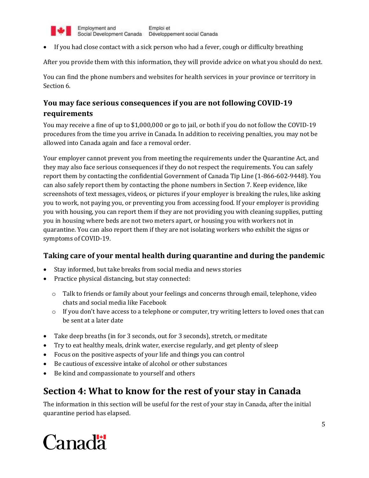

Employment and Emploi et Social Development Canada Développement social Canada

If you had close contact with a sick person who had a fever, cough or difficulty breathing

After you provide them with this information, they will provide advice on what you should do next.

You can find the phone numbers and websites for health services in your province or territory in Section 6.

#### **You may face serious consequences if you are not following COVID-19 requirements**

You may receive a fine of up to \$1,000,000 or go to jail, or both if you do not follow the COVID-19 procedures from the time you arrive in Canada. In addition to receiving penalties, you may not be allowed into Canada again and face a removal order.

Your employer cannot prevent you from meeting the requirements under the Quarantine Act, and they may also face serious consequences if they do not respect the requirements. You can safely report them by contacting the confidential Government of Canada Tip Line (1-866-602-9448). You can also safely report them by contacting the phone numbers in Section 7. Keep evidence, like screenshots of text messages, videos, or pictures if your employer is breaking the rules, like asking you to work, not paying you, or preventing you from accessing food. If your employer is providing you with housing, you can report them if they are not providing you with cleaning supplies, putting you in housing where beds are not two meters apart, or housing you with workers not in quarantine. You can also report them if they are not isolating workers who exhibit the signs or symptoms of COVID-19.

#### **Taking care of your mental health during quarantine and during the pandemic**

- Stay informed, but take breaks from social media and news stories
- Practic[e physical distancing,](https://www.canada.ca/en/public-health/services/publications/diseases-conditions/social-distancing.html) but stay connected:
	- o Talk to friends or family about your feelings and concerns through email, telephone, video chats and social media like Facebook
	- $\circ$  If you don't have access to a telephone or computer, try writing letters to loved ones that can be sent at a later date
- Take deep breaths (in for 3 seconds, out for 3 seconds), stretch, or meditate
- Try to eat healthy meals, drink water, exercise regularly, and get plenty of sleep
- Focus on the positive aspects of your life and things you can control
- Be cautious of excessive intake of alcohol or other substances
- Be kind and compassionate to yourself and others

## **Section 4: What to know for the rest of your stay in Canada**

The information in this section will be useful for the rest of your stay in Canada, after the initial quarantine period has elapsed.

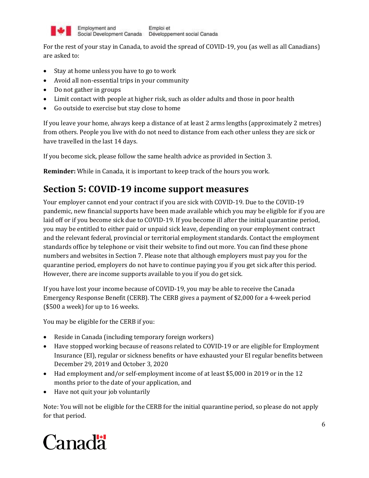

For the rest of your stay in Canada, to avoid the spread of COVID-19, you (as well as all Canadians) are asked to:

- Stay at home unless you have to go to work
- Avoid all non-essential trips in your community
- Do not gather in groups
- Limit contact with people at higher risk, such as older adults and those in poor health
- Go outside to exercise but stay close to home

If you leave your home, always keep a distance of at least 2 arms lengths (approximately 2 metres) from others. People you live with do not need to distance from each other unless they are sick or have travelled in the last 14 days.

If you become sick, please follow the same health advice as provided in Section 3.

**Reminder:** While in Canada, it is important to keep track of the hours you work.

### **Section 5: COVID-19 income support measures**

Your employer cannot end your contract if you are sick with COVID-19. Due to the COVID-19 pandemic, new financial supports have been made available which you may be eligible for if you are laid off or if you become sick due to COVID-19. If you become ill after the initial quarantine period, you may be entitled to either paid or unpaid sick leave, depending on your employment contract and the relevant federal, provincial or territorial employment standards. Contact the employment standards office by telephone or visit their website to find out more. You can find these phone numbers and websites in Section 7. Please note that although employers must pay you for the quarantine period, employers do not have to continue paying you if you get sick after this period. However, there are income supports available to you if you do get sick.

If you have lost your income because of COVID-19, you may be able to receive the Canada Emergency Response Benefit (CERB). The CERB gives a payment of \$2,000 for a 4-week period (\$500 a week) for up to 16 weeks.

You may be eligible for the CERB if you:

- Reside in Canada (including temporary foreign workers)
- Have stopped working because of reasons related to COVID-19 or are eligible for Employment Insurance (EI), regular or sickness benefits or have exhausted your EI regular benefits between December 29, 2019 and October 3, 2020
- Had employment and/or self-employment income of at least \$5,000 in 2019 or in the 12 months prior to the date of your application, and
- Have not quit your job voluntarily

Note: You will not be eligible for the CERB for the initial quarantine period, so please do not apply for that period.

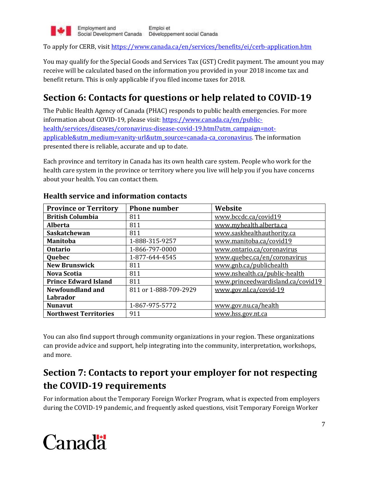

To apply for CERB, visit [https://www.canada.ca/en/services/benefits/ei/cerb-application.htm](https://www.canada.ca/en/services/benefits/ei/cerb-application.html)

You may qualify for the Special Goods and Services Tax (GST) Credit payment. The amount you may receive will be calculated based on the information you provided in your 2018 income tax and benefit return. This is only applicable if you filed income taxes for 2018.

## **Section 6: Contacts for questions or help related to COVID-19**

The Public Health Agency of Canada (PHAC) responds to public health emergencies. For more information about COVID-19, please visit: [https://www.canada.ca/en/public](https://www.canada.ca/en/public-health/services/diseases/coronavirus-disease-covid-19.html?utm_campaign=not-applicable&utm_medium=vanity-url&utm_source=canada-ca_coronavirus)[health/services/diseases/coronavirus-disease-covid-19.html?utm\\_campaign=not](https://www.canada.ca/en/public-health/services/diseases/coronavirus-disease-covid-19.html?utm_campaign=not-applicable&utm_medium=vanity-url&utm_source=canada-ca_coronavirus)[applicable&utm\\_medium=vanity-url&utm\\_source=canada-ca\\_coronavirus.](https://www.canada.ca/en/public-health/services/diseases/coronavirus-disease-covid-19.html?utm_campaign=not-applicable&utm_medium=vanity-url&utm_source=canada-ca_coronavirus) The information presented there is reliable, accurate and up to date.

Each province and territory in Canada has its own health care system. People who work for the health care system in the province or territory where you live will help you if you have concerns about your health. You can contact them.

| <b>Province or Territory</b> | <b>Phone number</b>   | Website                           |
|------------------------------|-----------------------|-----------------------------------|
| <b>British Columbia</b>      | 811                   | www.bccdc.ca/covid19              |
| <b>Alberta</b>               | 811                   | www.myhealth.alberta.ca           |
| Saskatchewan                 | 811                   | www.saskhealthauthority.ca        |
| <b>Manitoba</b>              | 1-888-315-9257        | www.manitoba.ca/covid19           |
| <b>Ontario</b>               | 1-866-797-0000        | www.ontario.ca/coronavirus        |
| Quebec                       | 1-877-644-4545        | www.quebec.ca/en/coronavirus      |
| <b>New Brunswick</b>         | 811                   | www.gnb.ca/publichealth           |
| <b>Nova Scotia</b>           | 811                   | www.nshealth.ca/public-health     |
| <b>Prince Edward Island</b>  | 811                   | www.princeedwardisland.ca/covid19 |
| <b>Newfoundland and</b>      | 811 or 1-888-709-2929 | www.gov.nl.ca/covid-19            |
| Labrador                     |                       |                                   |
| <b>Nunavut</b>               | 1-867-975-5772        | www.gov.nu.ca/health              |
| <b>Northwest Territories</b> | 911                   | www.hss.gov.nt.ca                 |

#### **Health service and information contacts**

You can also find support through community organizations in your region. These organizations can provide advice and support, help integrating into the community, interpretation, workshops, and more.

## **Section 7: Contacts to report your employer for not respecting the COVID-19 requirements**

For information about the Temporary Foreign Worker Program, what is expected from employers during the COVID-19 pandemic, and frequently asked questions, visit Temporary Foreign Worker

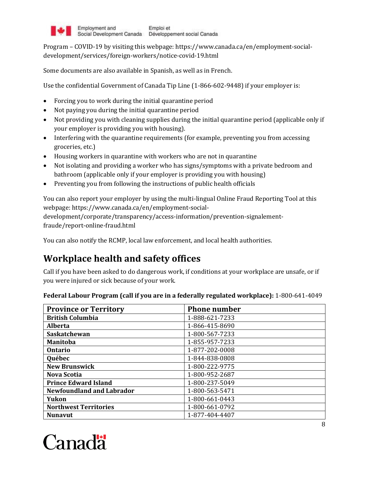

Program – COVID-19 by visiting this webpage: https://www.canada.ca/en/employment-socialdevelopment/services/foreign-workers/notice-covid-19.html

Some documents are also available in Spanish, as well as in French.

Use the confidential Government of Canada Tip Line (1-866-602-9448) if your employer is:

- Forcing you to work during the initial quarantine period
- Not paying you during the initial quarantine period
- Not providing you with cleaning supplies during the initial quarantine period (applicable only if your employer is providing you with housing).
- Interfering with the quarantine requirements (for example, preventing you from accessing groceries, etc.)
- Housing workers in quarantine with workers who are not in quarantine
- Not isolating and providing a worker who has signs/symptoms with a private bedroom and bathroom (applicable only if your employer is providing you with housing)
- Preventing you from following the instructions of public health officials

You can also report your employer by using the multi-lingual Online Fraud Reporting Tool at this webpage: https://www.canada.ca/en/employment-social-

development/corporate/transparency/access-information/prevention-signalementfraude/report-online-fraud.html

You can also notify the RCMP, local law enforcement, and local health authorities.

## **Workplace health and safety offices**

Call if you have been asked to do dangerous work, if conditions at your workplace are unsafe, or if you were injured or sick because of your work.

| <b>Province or Territory</b>     | <b>Phone number</b> |
|----------------------------------|---------------------|
| <b>British Columbia</b>          | 1-888-621-7233      |
| <b>Alberta</b>                   | 1-866-415-8690      |
| <b>Saskatchewan</b>              | 1-800-567-7233      |
| <b>Manitoba</b>                  | 1-855-957-7233      |
| <b>Ontario</b>                   | 1-877-202-0008      |
| Québec                           | 1-844-838-0808      |
| <b>New Brunswick</b>             | 1-800-222-9775      |
| Nova Scotia                      | 1-800-952-2687      |
| <b>Prince Edward Island</b>      | 1-800-237-5049      |
| <b>Newfoundland and Labrador</b> | 1-800-563-5471      |
| Yukon                            | 1-800-661-0443      |
| <b>Northwest Territories</b>     | 1-800-661-0792      |
| <b>Nunavut</b>                   | 1-877-404-4407      |

**Federal Labour Program (call if you are in a federally regulated workplace):** 1-800-641-4049